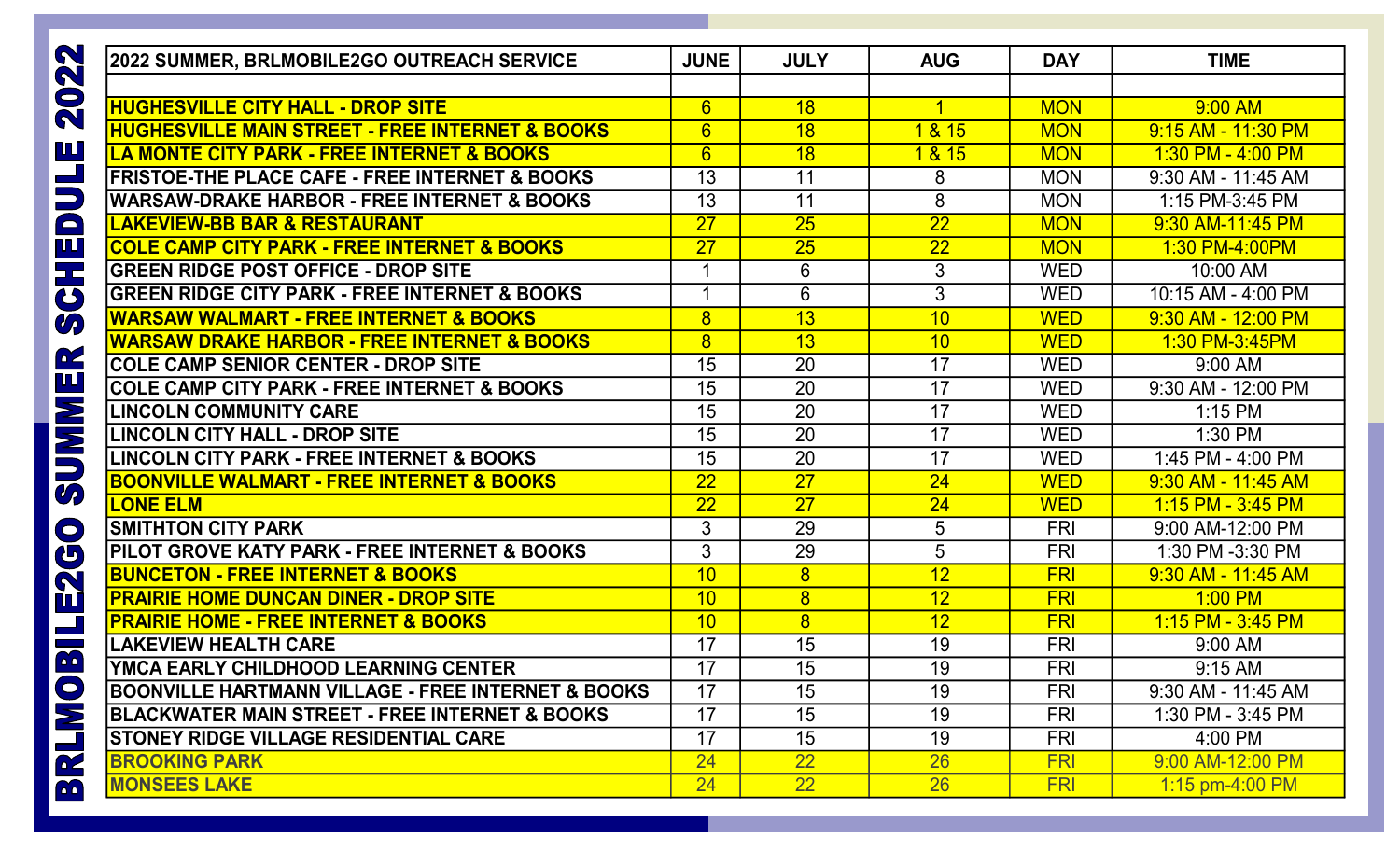| 2022 SUMMER, BRLMOBILE2GO OUTREACH SERVICE                          | <b>JUNE</b>      | <b>JULY</b>    | <b>AUG</b>      | <b>DAY</b> | <b>TIME</b>           |
|---------------------------------------------------------------------|------------------|----------------|-----------------|------------|-----------------------|
| $\mathbf N$<br>$\bullet$                                            |                  |                |                 |            |                       |
| <b>HUGHESVILLE CITY HALL - DROP SITE</b><br>$\overline{\mathbf{N}}$ | $6 \overline{6}$ | 18             |                 | <b>MON</b> | 9:00 AM               |
| <b>HUGHESVILLE MAIN STREET - FREE INTERNET &amp; BOOKS</b>          | $6\overline{6}$  | 18             | 1 & 15          | <b>MON</b> | 9:15 AM - 11:30 PM    |
| <b>LA MONTE CITY PARK - FREE INTERNET &amp; BOOKS</b>               | $6\overline{6}$  | 18             | 1 & 15          | <b>MON</b> | $1:30$ PM - $4:00$ PM |
| <b>FRISTOE-THE PLACE CAFE - FREE INTERNET &amp; BOOKS</b>           | 13               | 11             | 8               | <b>MON</b> | 9:30 AM - 11:45 AM    |
| <b>WARSAW-DRAKE HARBOR - FREE INTERNET &amp; BOOKS</b>              | 13               | 11             | 8               | <b>MON</b> | 1:15 PM-3:45 PM       |
| <b>LAKEVIEW-BB BAR &amp; RESTAURANT</b>                             | 27               | 25             | 22              | <b>MON</b> | 9:30 AM-11:45 PM      |
| <b>COLE CAMP CITY PARK - FREE INTERNET &amp; BOOKS</b>              | 27               | 25             | 22              | <b>MON</b> | 1:30 PM-4:00PM        |
| <b>GREEN RIDGE POST OFFICE - DROP SITE</b>                          |                  | 6              | 3               | <b>WED</b> | 10:00 AM              |
| <b>GREEN RIDGE CITY PARK - FREE INTERNET &amp; BOOKS</b>            | 4                | $6\phantom{1}$ | 3               | <b>WED</b> | 10:15 AM - 4:00 PM    |
| <u> IWARSAW WALMART - FREE INTERNET &amp; BOOKS</u>                 | 8                | 13             | 10              | <b>WED</b> | 9:30 AM - 12:00 PM    |
| <b>WARSAW DRAKE HARBOR - FREE INTERNET &amp; BOOKS</b>              | 8                | 13             | 10              | <b>WED</b> | 1:30 PM-3:45PM        |
| <b>COLE CAMP SENIOR CENTER - DROP SITE</b>                          | 15               | 20             | 17              | <b>WED</b> | 9:00 AM               |
| <b>COLE CAMP CITY PARK - FREE INTERNET &amp; BOOKS</b>              | 15               | 20             | 17              | <b>WED</b> | 9:30 AM - 12:00 PM    |
| <b>LINCOLN COMMUNITY CARE</b>                                       | 15               | 20             | 17              | <b>WED</b> | $1:15$ PM             |
| <b>LINCOLN CITY HALL - DROP SITE</b>                                | 15               | 20             | 17              | <b>WED</b> | 1:30 PM               |
| <b>LINCOLN CITY PARK - FREE INTERNET &amp; BOOKS</b>                | 15               | 20             | 17              | <b>WED</b> | 1:45 PM - 4:00 PM     |
| <b>BOONVILLE WALMART - FREE INTERNET &amp; BOOKS</b>                | 22               | 27             | 24              | <b>WED</b> | 9:30 AM - 11:45 AM    |
| <b>LONE ELM</b>                                                     | 22               | 27             | 24              | <b>WED</b> | 1:15 PM - 3:45 PM     |
| <b>SMITHTON CITY PARK</b>                                           | 3                | 29             | $5\overline{)}$ | <b>FRI</b> | 9:00 AM-12:00 PM      |
| PILOT GROVE KATY PARK - FREE INTERNET & BOOKS                       | 3                | 29             | 5               | <b>FRI</b> | 1:30 PM -3:30 PM      |
| <b>BUNCETON - FREE INTERNET &amp; BOOKS</b>                         | 10               | 8              | 12              | <b>FRI</b> | 9:30 AM - 11:45 AM    |
| <u> IPRAIRIE HOME DUNCAN DINER - DROP SITE</u>                      | 10               | $\overline{8}$ | 12              | <b>FRI</b> | $1:00$ PM             |
| <b>PRAIRIE HOME - FREE INTERNET &amp; BOOKS</b>                     | 10               | $\overline{8}$ | 12              | <b>FRI</b> | 1:15 PM - 3:45 PM     |
| <b>LAKEVIEW HEALTH CARE</b>                                         | 17               | 15             | 19              | <b>FRI</b> | 9:00 AM               |
| YMCA EARLY CHILDHOOD LEARNING CENTER                                | 17               | 15             | 19              | FRI        | $9:15$ AM             |
| BOONVILLE HARTMANN VILLAGE - FREE INTERNET & BOOKS                  | 17               | 15             | 19              | <b>FRI</b> | 9:30 AM - 11:45 AM    |
| <b>BLACKWATER MAIN STREET - FREE INTERNET &amp; BOOKS</b>           | 17               | 15             | 19              | <b>FRI</b> | 1:30 PM - 3:45 PM     |
| <b>STONEY RIDGE VILLAGE RESIDENTIAL CARE</b>                        | 17               | 15             | 19              | <b>FRI</b> | 4:00 PM               |
| <b>BROOKING PARK</b>                                                | 24               | 22             | 26              | <b>FRI</b> | 9:00 AM-12:00 PM      |
| <b>MONSEES LAKE</b><br><b>Co</b>                                    | 24               | 22             | 26              | <b>FRI</b> | 1:15 pm-4:00 PM       |